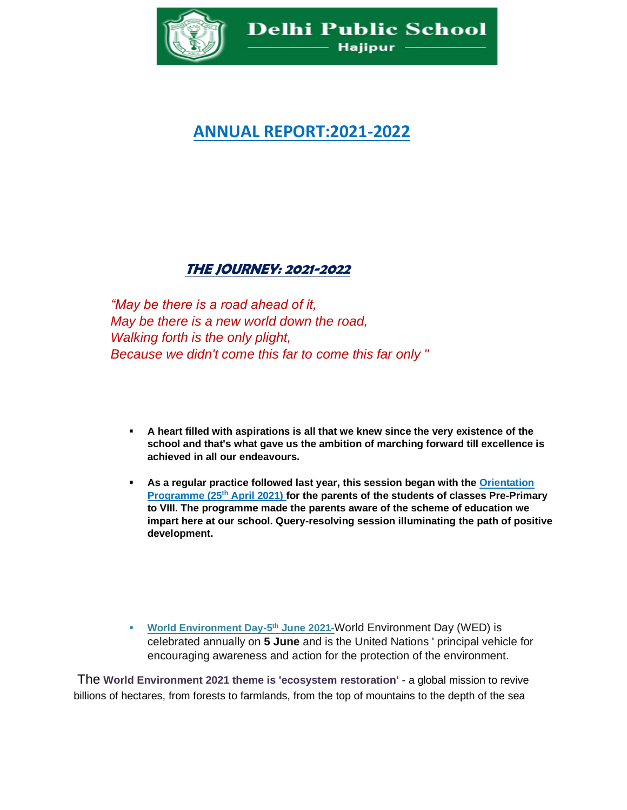

## **ANNUAL REPORT:2021-2022**

## **THE JOURNEY: 2021-2022**

*"May be there is a road ahead of it, May be there is a new world down the road, Walking forth is the only plight, Because we didn't come this far to come this far only "*

- **A heart filled with aspirations is all that we knew since the very existence of the school and that's what gave us the ambition of marching forward till excellence is achieved in all our endeavours.**
- **EXECT** As a regular practice followed last year, this session began with the Orientation **Programme (25th April 2021) for the parents of the students of classes Pre-Primary to VIII. The programme made the parents aware of the scheme of education we impart here at our school. Query-resolving session illuminating the path of positive development.**

**World Environment Day-5<sup>th</sup> June 2021-World Environment Day (WED) is** celebrated annually on **5 June** and is the United Nations ' principal vehicle for encouraging awareness and action for the protection of the environment.

The **World Environment 2021 theme is 'ecosystem restoration'** - a global mission to revive billions of hectares, from forests to farmlands, from the top of mountains to the depth of the sea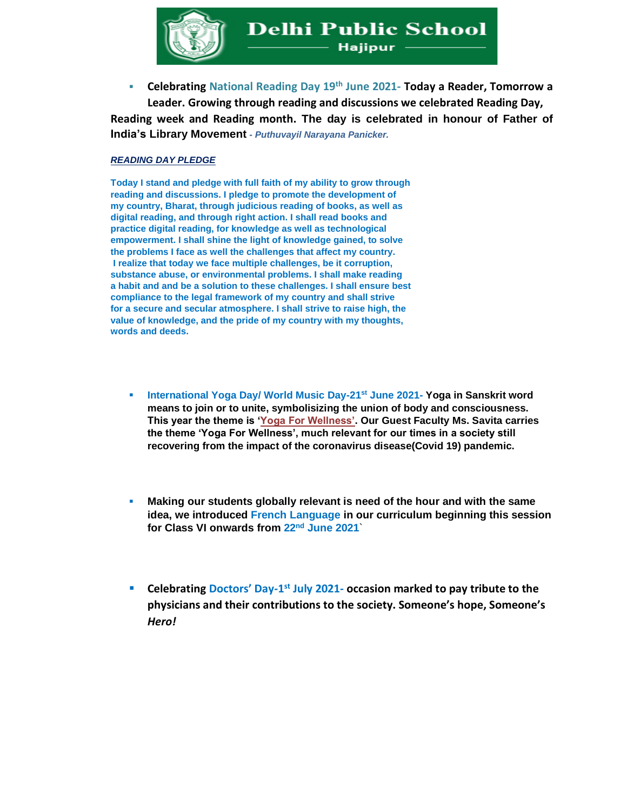

▪ **Celebrating National Reading Day 19th June 2021- Today a Reader, Tomorrow a Leader. Growing through reading and discussions we celebrated Reading Day, Reading week and Reading month. The day is celebrated in honour of Father of India's Library Movement** *- Puthuvayil Narayana Panicker.* 

## *READING DAY PLEDGE*

**Today I stand and pledge with full faith of my ability to grow through reading and discussions. I pledge to promote the development of my country, Bharat, through judicious reading of books, as well as digital reading, and through right action. I shall read books and practice digital reading, for knowledge as well as technological empowerment. I shall shine the light of knowledge gained, to solve the problems I face as well the challenges that affect my country. I realize that today we face multiple challenges, be it corruption, substance abuse, or environmental problems. I shall make reading a habit and and be a solution to these challenges. I shall ensure best compliance to the legal framework of my country and shall strive for a secure and secular atmosphere. I shall strive to raise high, the value of knowledge, and the pride of my country with my thoughts, words and deeds.**

- **International Yoga Day/ World Music Day-21st June 2021- Yoga in Sanskrit word means to join or to unite, symbolisizing the union of body and consciousness. This year the theme is 'Yoga For Wellness'. Our Guest Faculty Ms. Savita carries the theme 'Yoga For Wellness', much relevant for our times in a society still recovering from the impact of the coronavirus disease(Covid 19) pandemic.**
- **Making our students globally relevant is need of the hour and with the same idea, we introduced French Language in our curriculum beginning this session for Class VI onwards from 22nd June 2021**`
- **Celebrating Doctors' Day-1 st July 2021- occasion marked to pay tribute to the physicians and their contributions to the society. Someone's hope, Someone's**  *Hero!*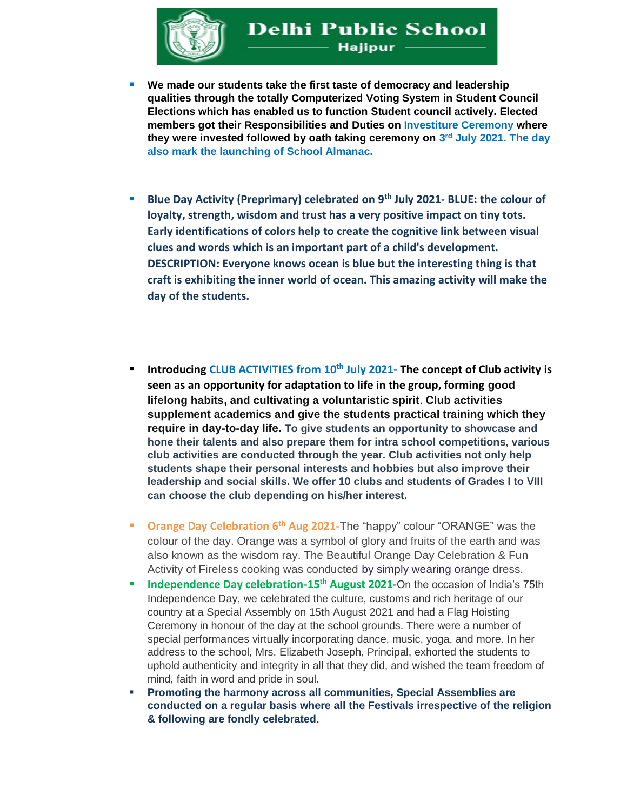

- We made our students take the first taste of democracy and leadership **qualities through the totally Computerized Voting System in Student Council Elections which has enabled us to function Student council actively. Elected members got their Responsibilities and Duties on Investiture Ceremony where they were invested followed by oath taking ceremony on 3 rd July 2021. The day also mark the launching of School Almanac.**
- **Blue Day Activity (Preprimary) celebrated on 9th July 2021- BLUE: the colour of loyalty, strength, wisdom and trust has a very positive impact on tiny tots. Early identifications of colors help to create the cognitive link between visual clues and words which is an important part of a child's development. DESCRIPTION: Everyone knows ocean is blue but the interesting thing is that craft is exhibiting the inner world of ocean. This amazing activity will make the day of the students.**
- **Introducing CLUB ACTIVITIES from 10th July 2021- The concept of Club activity is seen as an opportunity for adaptation to life in the group, forming good lifelong habits, and cultivating a voluntaristic spirit**. **Club activities supplement academics and give the students practical training which they require in day-to-day life. To give students an opportunity to showcase and hone their talents and also prepare them for intra school competitions, various club activities are conducted through the year. Club activities not only help students shape their personal interests and hobbies but also improve their leadership and social skills. We offer 10 clubs and students of Grades I to VIII can choose the club depending on his/her interest.**
- **Orange Day Celebration 6th Aug 2021-**The "happy" colour "ORANGE" was the colour of the day. Orange was a symbol of glory and fruits of the earth and was also known as the wisdom ray. The Beautiful Orange Day Celebration & Fun Activity of Fireless cooking was conducted by simply wearing orange dress.
- **E** Independence Day celebration-15<sup>th</sup> August 2021-On the occasion of India's 75th Independence Day, we celebrated the culture, customs and rich heritage of our country at a Special Assembly on 15th August 2021 and had a Flag Hoisting Ceremony in honour of the day at the school grounds. There were a number of special performances virtually incorporating dance, music, yoga, and more. In her address to the school, Mrs. Elizabeth Joseph, Principal, exhorted the students to uphold authenticity and integrity in all that they did, and wished the team freedom of mind, faith in word and pride in soul.
- **Promoting the harmony across all communities, Special Assemblies are conducted on a regular basis where all the Festivals irrespective of the religion & following are fondly celebrated.**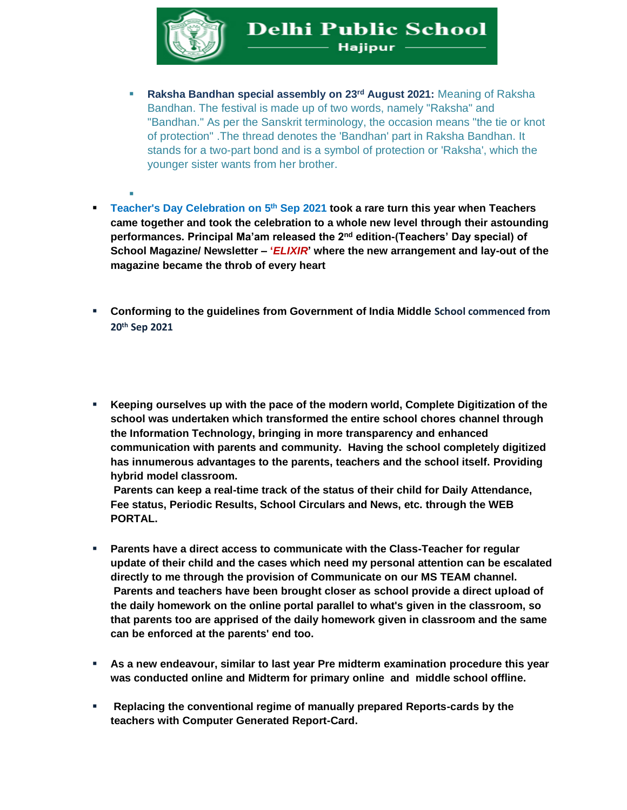

- **Raksha Bandhan special assembly on 23rd August 2021:** Meaning of Raksha Bandhan. The festival is made up of two words, namely "Raksha" and "Bandhan." As per the Sanskrit terminology, the occasion means "the tie or knot of protection" .The thread denotes the 'Bandhan' part in Raksha Bandhan. It stands for a two-part bond and is a symbol of protection or 'Raksha', which the younger sister wants from her brother.
- ▪ **Teacher's Day Celebration on 5th Sep 2021 took a rare turn this year when Teachers came together and took the celebration to a whole new level through their astounding performances. Principal Ma'am released the 2nd edition-(Teachers' Day special) of School Magazine/ Newsletter – '***ELIXIR***' where the new arrangement and lay-out of the magazine became the throb of every heart**
- **Conforming to the guidelines from Government of India Middle School commenced from 20th Sep 2021**
- **Keeping ourselves up with the pace of the modern world, Complete Digitization of the school was undertaken which transformed the entire school chores channel through the Information Technology, bringing in more transparency and enhanced communication with parents and community. Having the school completely digitized has innumerous advantages to the parents, teachers and the school itself. Providing hybrid model classroom.**

**Parents can keep a real-time track of the status of their child for Daily Attendance, Fee status, Periodic Results, School Circulars and News, etc. through the WEB PORTAL.**

- Parents have a direct access to communicate with the Class-Teacher for regular **update of their child and the cases which need my personal attention can be escalated directly to me through the provision of Communicate on our MS TEAM channel. Parents and teachers have been brought closer as school provide a direct upload of the daily homework on the online portal parallel to what's given in the classroom, so that parents too are apprised of the daily homework given in classroom and the same can be enforced at the parents' end too.**
- **As a new endeavour, similar to last year Pre midterm examination procedure this year was conducted online and Midterm for primary online and middle school offline.**
- **Replacing the conventional regime of manually prepared Reports-cards by the teachers with Computer Generated Report-Card.**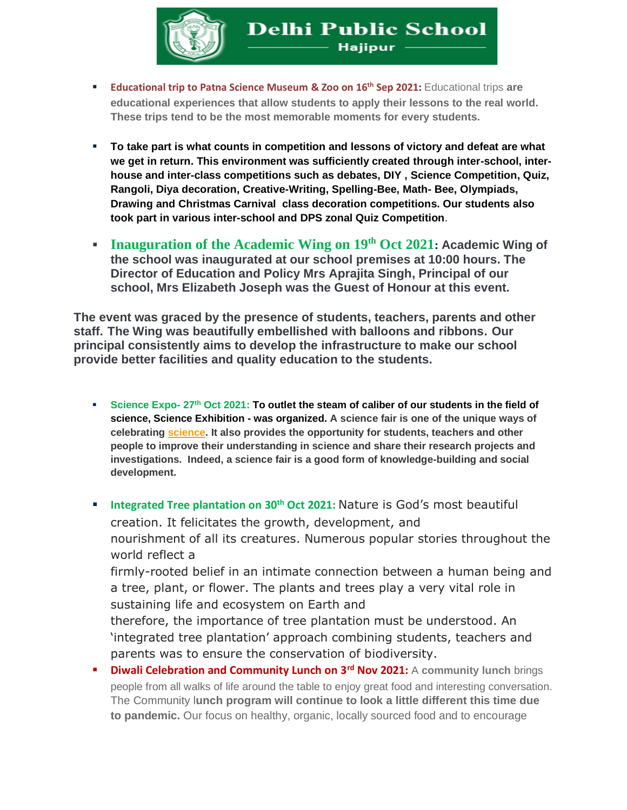

- **Educational trip to Patna Science Museum & Zoo on 16th Sep 2021:** Educational trips **are educational experiences that allow students to apply their lessons to the real world. These trips tend to be the most memorable moments for every students.**
- **To take part is what counts in competition and lessons of victory and defeat are what we get in return. This environment was sufficiently created through inter-school, interhouse and inter-class competitions such as debates, DIY , Science Competition, Quiz, Rangoli, Diya decoration, Creative-Writing, Spelling-Bee, Math- Bee, Olympiads, Drawing and Christmas Carnival class decoration competitions. Our students also took part in various inter-school and DPS zonal Quiz Competition**.
- **Inauguration of the Academic Wing on 19th Oct 2021: Academic Wing of the school was inaugurated at our school premises at 10:00 hours. The Director of Education and Policy Mrs Aprajita Singh, Principal of our school, Mrs Elizabeth Joseph was the Guest of Honour at this event.**

**The event was graced by the presence of students, teachers, parents and other staff. The Wing was beautifully embellished with balloons and ribbons. Our principal consistently aims to develop the infrastructure to make our school provide better facilities and quality education to the students.**

- **Science Expo- 27th Oct 2021: To outlet the steam of caliber of our students in the field of science, Science Exhibition - was organized. A science fair is one of the unique ways of celebrating [science.](https://www.isbglasgow.com/) It also provides the opportunity for students, teachers and other people to improve their understanding in science and share their research projects and investigations. Indeed, a science fair is a good form of knowledge-building and social development.**
- **Integrated Tree plantation on 30th Oct 2021:** Nature is God's most beautiful creation. It felicitates the growth, development, and nourishment of all its creatures. Numerous popular stories throughout the world reflect a firmly-rooted belief in an intimate connection between a human being and

a tree, plant, or flower. The plants and trees play a very vital role in sustaining life and ecosystem on Earth and

therefore, the importance of tree plantation must be understood. An 'integrated tree plantation' approach combining students, teachers and parents was to ensure the conservation of biodiversity.

▪ **Diwali Celebration and Community Lunch on 3rd Nov 2021:** A **community lunch** brings people from all walks of life around the table to enjoy great food and interesting conversation. The Community l**unch program will continue to look a little different this time due to pandemic.** Our focus on healthy, organic, locally sourced food and to encourage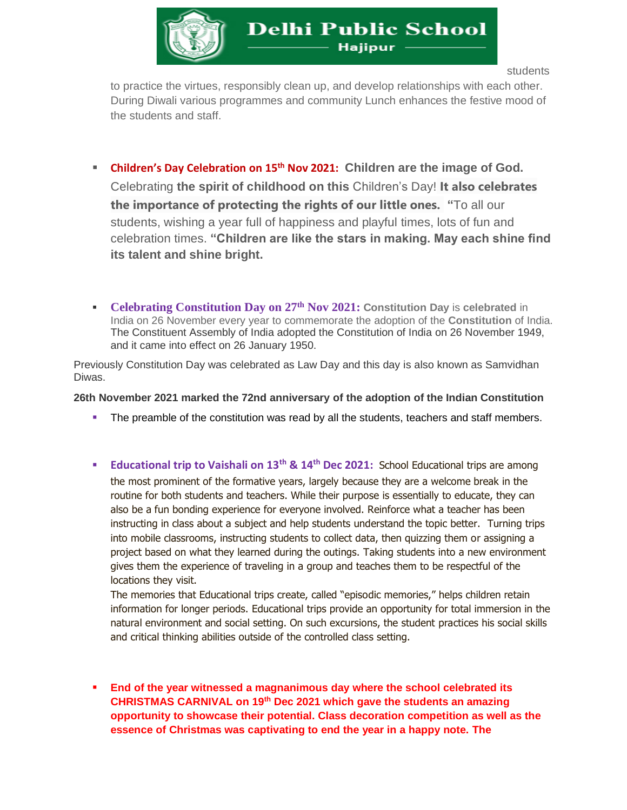

students

to practice the virtues, responsibly clean up, and develop relationships with each other. During Diwali various programmes and community Lunch enhances the festive mood of the students and staff.

- **Children's Day Celebration on 15th Nov 2021: Children are the image of God.**  Celebrating **the spirit of childhood on this** Children's Day! **It also celebrates the importance of protecting the rights of our little ones. "**To all our students, wishing a year full of happiness and playful times, lots of fun and celebration times. **"Children are like the stars in making. May each shine find its talent and shine bright.**
- **Celebrating Constitution Day on 27th Nov 2021: Constitution Day** is **celebrated** in India on 26 November every year to commemorate the adoption of the **Constitution** of India. The Constituent Assembly of India adopted the Constitution of India on 26 November 1949, and it came into effect on 26 January 1950.

Previously Constitution Day was celebrated as Law Day and this day is also known as Samvidhan Diwas.

## **26th November 2021 marked the 72nd anniversary of the adoption of the Indian Constitution**

- **•** The preamble of the constitution was read by all the students, teachers and staff members.
- **Educational trip to Vaishali on 13th & 14th Dec 2021:** School Educational trips are among the most prominent of the formative years, largely because they are a welcome break in the routine for both students and teachers. While their purpose is essentially to educate, they can also be a fun bonding experience for everyone involved. Reinforce what a teacher has been instructing in class about a subject and help students understand the topic better. Turning trips into mobile classrooms, instructing students to collect data, then quizzing them or assigning a project based on what they learned during the outings. Taking students into a new environment gives them the experience of traveling in a group and teaches them to be respectful of the locations they visit.

The memories that Educational trips create, called "episodic memories," helps children retain information for longer periods. Educational trips provide an opportunity for total immersion in the natural environment and social setting. On such excursions, the student practices his social skills and critical thinking abilities outside of the controlled class setting.

▪ **End of the year witnessed a magnanimous day where the school celebrated its CHRISTMAS CARNIVAL on 19th Dec 2021 which gave the students an amazing opportunity to showcase their potential. Class decoration competition as well as the essence of Christmas was captivating to end the year in a happy note. The**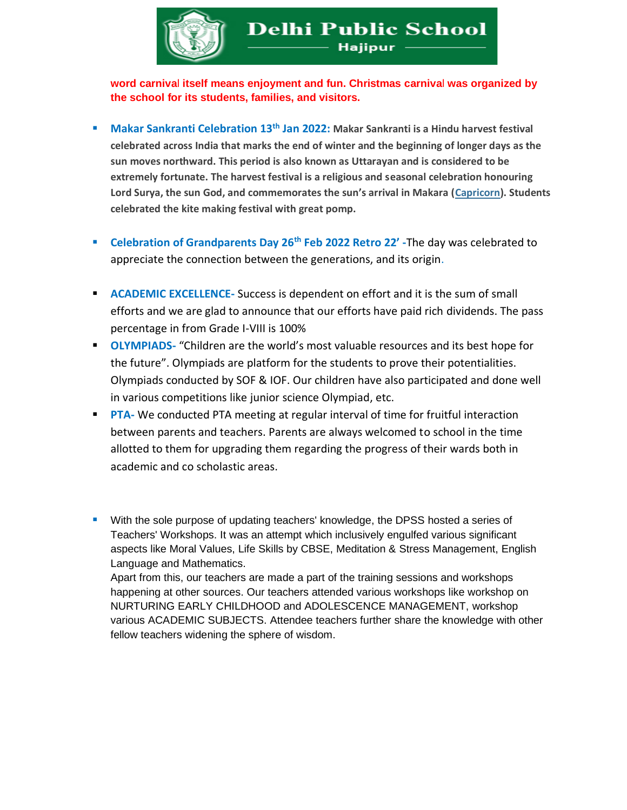

**word carniva**l **itself means enjoyment and fun. Christmas carniva**l **was organized by the school for its students, families, and visitors.**

- Makar Sankranti Celebration 13<sup>th</sup> Jan 2022: Makar Sankranti is a Hindu harvest festival **celebrated across India that marks the end of winter and the beginning of longer days as the sun moves northward. This period is also known as Uttarayan and is considered to be extremely fortunate. The harvest festival is a religious and seasonal celebration honouring Lord Surya, the sun God, and commemorates the sun's arrival in Makara ([Capricorn\)](https://indianexpress.com/about/capricorn/). Students celebrated the kite making festival with great pomp.**
- **Celebration of Grandparents Day 26th Feb 2022 Retro 22' -**The day was celebrated to appreciate the connection between the generations, and its origin.
- **EXALUATE:** ACADEMIC EXCELLENCE- Success is dependent on effort and it is the sum of small efforts and we are glad to announce that our efforts have paid rich dividends. The pass percentage in from Grade I-VIII is 100%
- **OLYMPIADS** "Children are the world's most valuable resources and its best hope for the future". Olympiads are platform for the students to prove their potentialities. Olympiads conducted by SOF & IOF. Our children have also participated and done well in various competitions like junior science Olympiad, etc.
- **PTA-** We conducted PTA meeting at regular interval of time for fruitful interaction between parents and teachers. Parents are always welcomed to school in the time allotted to them for upgrading them regarding the progress of their wards both in academic and co scholastic areas.
- **■** With the sole purpose of updating teachers' knowledge, the DPSS hosted a series of Teachers' Workshops. It was an attempt which inclusively engulfed various significant aspects like Moral Values, Life Skills by CBSE, Meditation & Stress Management, English Language and Mathematics.

Apart from this, our teachers are made a part of the training sessions and workshops happening at other sources. Our teachers attended various workshops like workshop on NURTURING EARLY CHILDHOOD and ADOLESCENCE MANAGEMENT, workshop various ACADEMIC SUBJECTS. Attendee teachers further share the knowledge with other fellow teachers widening the sphere of wisdom.